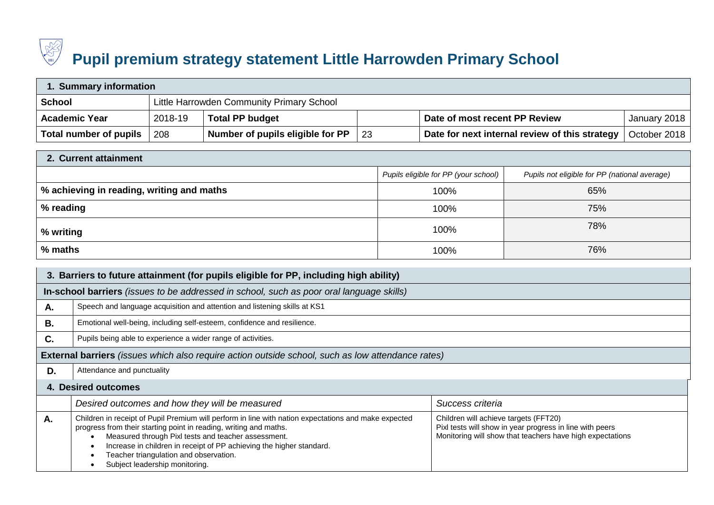

## **Pupil premium strategy statement Little Harrowden Primary School**

| Summary information    |                                           |                                  |     |                                                |              |  |
|------------------------|-------------------------------------------|----------------------------------|-----|------------------------------------------------|--------------|--|
| <b>School</b>          | Little Harrowden Community Primary School |                                  |     |                                                |              |  |
| <b>Academic Year</b>   | 2018-19                                   | <b>Total PP budget</b>           |     | Date of most recent PP Review                  | January 2018 |  |
| Total number of pupils | 208                                       | Number of pupils eligible for PP | -23 | Date for next internal review of this strategy | October 2018 |  |

| 2. Current attainment                     |                                      |                                               |  |  |  |  |
|-------------------------------------------|--------------------------------------|-----------------------------------------------|--|--|--|--|
|                                           | Pupils eligible for PP (your school) | Pupils not eligible for PP (national average) |  |  |  |  |
| % achieving in reading, writing and maths | 100%                                 | 65%                                           |  |  |  |  |
| $\frac{1}{2}$ % reading                   | 100%                                 | 75%                                           |  |  |  |  |
| ∣ % writing                               | 100%                                 | 78%                                           |  |  |  |  |
| % maths                                   | 100%                                 | 76%                                           |  |  |  |  |

|    | 3. Barriers to future attainment (for pupils eligible for PP, including high ability)                                                                                                                                                                                                                                                                                                |                                                                                                                                                                |
|----|--------------------------------------------------------------------------------------------------------------------------------------------------------------------------------------------------------------------------------------------------------------------------------------------------------------------------------------------------------------------------------------|----------------------------------------------------------------------------------------------------------------------------------------------------------------|
|    | In-school barriers (issues to be addressed in school, such as poor oral language skills)                                                                                                                                                                                                                                                                                             |                                                                                                                                                                |
| Α. | Speech and language acquisition and attention and listening skills at KS1                                                                                                                                                                                                                                                                                                            |                                                                                                                                                                |
| В. | Emotional well-being, including self-esteem, confidence and resilience.                                                                                                                                                                                                                                                                                                              |                                                                                                                                                                |
| C. | Pupils being able to experience a wider range of activities.                                                                                                                                                                                                                                                                                                                         |                                                                                                                                                                |
|    | <b>External barriers</b> (issues which also require action outside school, such as low attendance rates)                                                                                                                                                                                                                                                                             |                                                                                                                                                                |
| D. | Attendance and punctuality                                                                                                                                                                                                                                                                                                                                                           |                                                                                                                                                                |
|    | 4. Desired outcomes                                                                                                                                                                                                                                                                                                                                                                  |                                                                                                                                                                |
|    | Desired outcomes and how they will be measured                                                                                                                                                                                                                                                                                                                                       | Success criteria                                                                                                                                               |
| А. | Children in receipt of Pupil Premium will perform in line with nation expectations and make expected<br>progress from their starting point in reading, writing and maths.<br>Measured through Pixl tests and teacher assessment.<br>Increase in children in receipt of PP achieving the higher standard.<br>Teacher triangulation and observation.<br>Subject leadership monitoring. | Children will achieve targets (FFT20)<br>Pixl tests will show in year progress in line with peers<br>Monitoring will show that teachers have high expectations |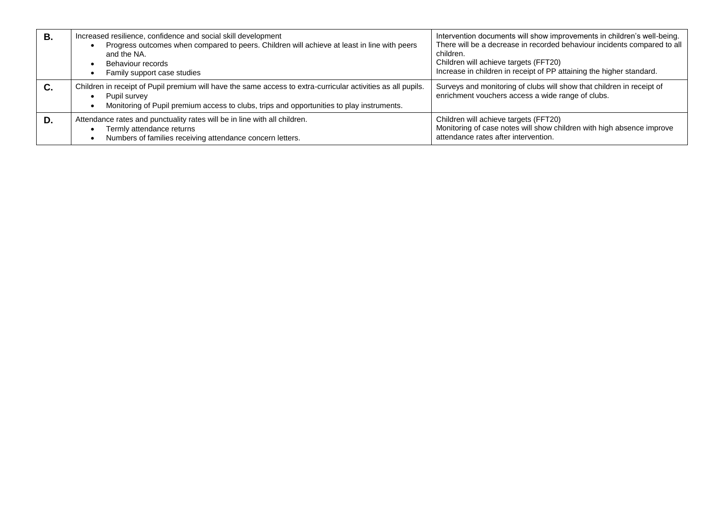| В. | Increased resilience, confidence and social skill development<br>Progress outcomes when compared to peers. Children will achieve at least in line with peers<br>and the NA.<br>Behaviour records<br>Family support case studies | Intervention documents will show improvements in children's well-being.<br>There will be a decrease in recorded behaviour incidents compared to all<br>children.<br>Children will achieve targets (FFT20)<br>Increase in children in receipt of PP attaining the higher standard. |
|----|---------------------------------------------------------------------------------------------------------------------------------------------------------------------------------------------------------------------------------|-----------------------------------------------------------------------------------------------------------------------------------------------------------------------------------------------------------------------------------------------------------------------------------|
| C. | Children in receipt of Pupil premium will have the same access to extra-curricular activities as all pupils.<br>Pupil survey<br>Monitoring of Pupil premium access to clubs, trips and opportunities to play instruments.       | Surveys and monitoring of clubs will show that children in receipt of<br>enrichment vouchers access a wide range of clubs.                                                                                                                                                        |
| D. | Attendance rates and punctuality rates will be in line with all children.<br>Termly attendance returns<br>Numbers of families receiving attendance concern letters.                                                             | Children will achieve targets (FFT20)<br>Monitoring of case notes will show children with high absence improve<br>attendance rates after intervention.                                                                                                                            |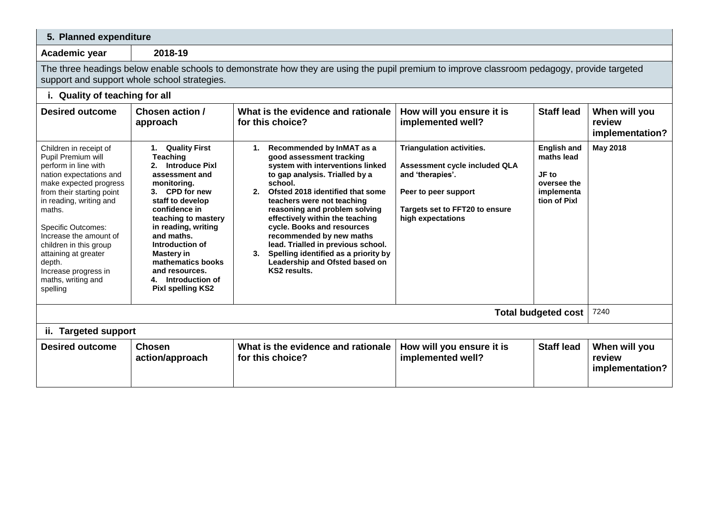## **5. Planned expenditure**

**Academic year 2018-19**

The three headings below enable schools to demonstrate how they are using the pupil premium to improve classroom pedagogy, provide targeted support and support whole school strategies.

## **i. Quality of teaching for all**

| <b>Desired outcome</b>                                                                                                                                                                                                                                                                                                                                                   | Chosen action /<br>approach                                                                                                                                                                                                                                                                                                                                    |          | What is the evidence and rationale<br>for this choice?                                                                                                                                                                                                                                                                                                                                                                                                                 | How will you ensure it is<br>implemented well?                                                                                                                | <b>Staff lead</b>                                                                      | When will you<br>review<br>implementation? |
|--------------------------------------------------------------------------------------------------------------------------------------------------------------------------------------------------------------------------------------------------------------------------------------------------------------------------------------------------------------------------|----------------------------------------------------------------------------------------------------------------------------------------------------------------------------------------------------------------------------------------------------------------------------------------------------------------------------------------------------------------|----------|------------------------------------------------------------------------------------------------------------------------------------------------------------------------------------------------------------------------------------------------------------------------------------------------------------------------------------------------------------------------------------------------------------------------------------------------------------------------|---------------------------------------------------------------------------------------------------------------------------------------------------------------|----------------------------------------------------------------------------------------|--------------------------------------------|
| Children in receipt of<br>Pupil Premium will<br>perform in line with<br>nation expectations and<br>make expected progress<br>from their starting point<br>in reading, writing and<br>maths.<br><b>Specific Outcomes:</b><br>Increase the amount of<br>children in this group<br>attaining at greater<br>depth.<br>Increase progress in<br>maths, writing and<br>spelling | <b>Quality First</b><br>1.<br><b>Teaching</b><br><b>Introduce Pixl</b><br>assessment and<br>monitoring.<br>3. CPD for new<br>staff to develop<br>confidence in<br>teaching to mastery<br>in reading, writing<br>and maths.<br>Introduction of<br><b>Mastery in</b><br>mathematics books<br>and resources.<br>Introduction of<br>4.<br><b>Pixl spelling KS2</b> | 1.<br>3. | Recommended by InMAT as a<br>good assessment tracking<br>system with interventions linked<br>to gap analysis. Trialled by a<br>school.<br>Ofsted 2018 identified that some<br>teachers were not teaching<br>reasoning and problem solving<br>effectively within the teaching<br>cycle. Books and resources<br>recommended by new maths<br>lead. Trialled in previous school.<br>Spelling identified as a priority by<br>Leadership and Ofsted based on<br>KS2 results. | Triangulation activities.<br>Assessment cycle included QLA<br>and 'therapies'.<br>Peer to peer support<br>Targets set to FFT20 to ensure<br>high expectations | <b>English and</b><br>maths lead<br>JF to<br>oversee the<br>implementa<br>tion of Pixl | May 2018                                   |
|                                                                                                                                                                                                                                                                                                                                                                          |                                                                                                                                                                                                                                                                                                                                                                |          |                                                                                                                                                                                                                                                                                                                                                                                                                                                                        |                                                                                                                                                               | <b>Total budgeted cost</b>                                                             | 7240                                       |
| ii. Targeted support                                                                                                                                                                                                                                                                                                                                                     |                                                                                                                                                                                                                                                                                                                                                                |          |                                                                                                                                                                                                                                                                                                                                                                                                                                                                        |                                                                                                                                                               |                                                                                        |                                            |
| <b>Desired outcome</b>                                                                                                                                                                                                                                                                                                                                                   | <b>Chosen</b><br>action/approach                                                                                                                                                                                                                                                                                                                               |          | What is the evidence and rationale<br>for this choice?                                                                                                                                                                                                                                                                                                                                                                                                                 | How will you ensure it is<br>implemented well?                                                                                                                | <b>Staff lead</b>                                                                      | When will you<br>review<br>implementation? |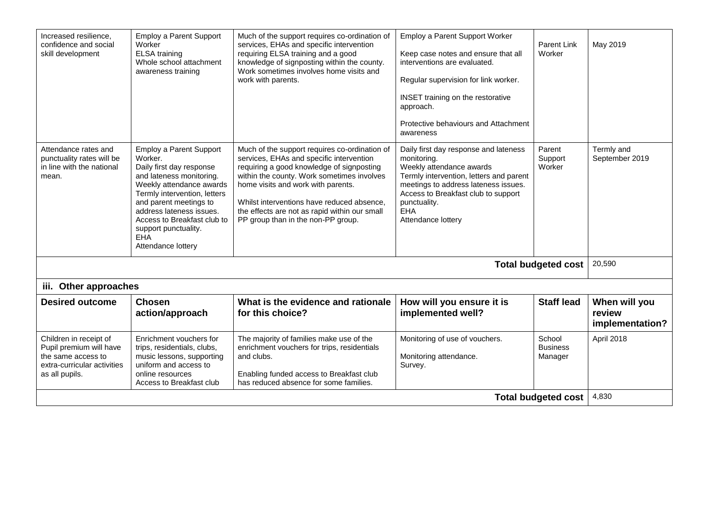| Increased resilience,<br>confidence and social<br>skill development                                                      | <b>Employ a Parent Support</b><br>Worker<br><b>ELSA</b> training<br>Whole school attachment<br>awareness training                                                                                                                                                                                       | Much of the support requires co-ordination of<br>services, EHAs and specific intervention<br>requiring ELSA training and a good<br>knowledge of signposting within the county.<br>Work sometimes involves home visits and<br>work with parents.                                                                                                                 | <b>Employ a Parent Support Worker</b><br>Keep case notes and ensure that all<br>interventions are evaluated.<br>Regular supervision for link worker.<br>INSET training on the restorative<br>approach.<br>Protective behaviours and Attachment<br>awareness | Parent Link<br>Worker                | May 2019                                   |
|--------------------------------------------------------------------------------------------------------------------------|---------------------------------------------------------------------------------------------------------------------------------------------------------------------------------------------------------------------------------------------------------------------------------------------------------|-----------------------------------------------------------------------------------------------------------------------------------------------------------------------------------------------------------------------------------------------------------------------------------------------------------------------------------------------------------------|-------------------------------------------------------------------------------------------------------------------------------------------------------------------------------------------------------------------------------------------------------------|--------------------------------------|--------------------------------------------|
| Attendance rates and<br>punctuality rates will be<br>in line with the national<br>mean.                                  | <b>Employ a Parent Support</b><br>Worker.<br>Daily first day response<br>and lateness monitoring.<br>Weekly attendance awards<br>Termly intervention, letters<br>and parent meetings to<br>address lateness issues.<br>Access to Breakfast club to<br>support punctuality.<br>EHA<br>Attendance lottery | Much of the support requires co-ordination of<br>services, EHAs and specific intervention<br>requiring a good knowledge of signposting<br>within the county. Work sometimes involves<br>home visits and work with parents.<br>Whilst interventions have reduced absence,<br>the effects are not as rapid within our small<br>PP group than in the non-PP group. | Daily first day response and lateness<br>monitoring.<br>Weekly attendance awards<br>Termly intervention, letters and parent<br>meetings to address lateness issues.<br>Access to Breakfast club to support<br>punctuality.<br>EHA<br>Attendance lottery     | Parent<br>Support<br>Worker          | Termly and<br>September 2019               |
|                                                                                                                          |                                                                                                                                                                                                                                                                                                         |                                                                                                                                                                                                                                                                                                                                                                 |                                                                                                                                                                                                                                                             | <b>Total budgeted cost</b>           | 20,590                                     |
| iii. Other approaches                                                                                                    |                                                                                                                                                                                                                                                                                                         |                                                                                                                                                                                                                                                                                                                                                                 |                                                                                                                                                                                                                                                             |                                      |                                            |
| <b>Desired outcome</b>                                                                                                   | <b>Chosen</b><br>action/approach                                                                                                                                                                                                                                                                        | What is the evidence and rationale<br>for this choice?                                                                                                                                                                                                                                                                                                          | How will you ensure it is<br>implemented well?                                                                                                                                                                                                              | <b>Staff lead</b>                    | When will you<br>review<br>implementation? |
| Children in receipt of<br>Pupil premium will have<br>the same access to<br>extra-curricular activities<br>as all pupils. | Enrichment vouchers for<br>trips, residentials, clubs,<br>music lessons, supporting<br>uniform and access to<br>online resources<br>Access to Breakfast club                                                                                                                                            | The majority of families make use of the<br>enrichment vouchers for trips, residentials<br>and clubs.<br>Enabling funded access to Breakfast club<br>has reduced absence for some families.                                                                                                                                                                     | Monitoring of use of vouchers.<br>Monitoring attendance.<br>Survey.                                                                                                                                                                                         | School<br><b>Business</b><br>Manager | April 2018                                 |
| <b>Total budgeted cost</b>                                                                                               |                                                                                                                                                                                                                                                                                                         |                                                                                                                                                                                                                                                                                                                                                                 |                                                                                                                                                                                                                                                             |                                      |                                            |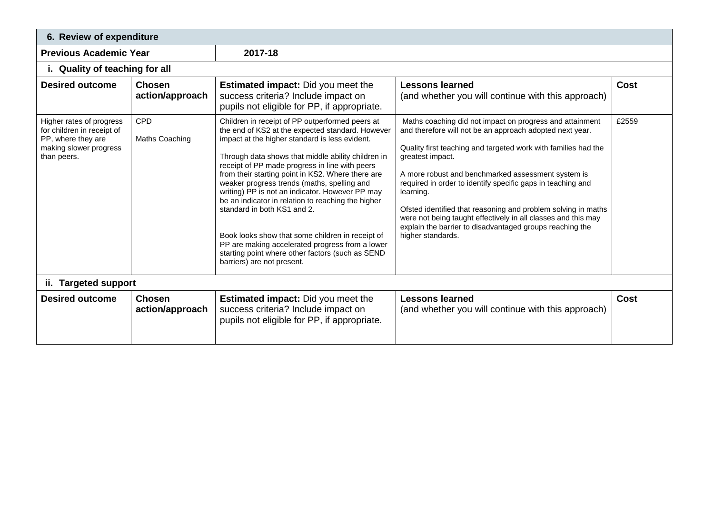| 6. Review of expenditure                                                                                              |                                  |                                                                                                                                                                                                                                                                                                                                                                                                                                                                                                                                                                                                                                                                                                    |                                                                                                                                                                                                                                                                                                                                                                                                                                                                                                                                                                 |             |  |  |
|-----------------------------------------------------------------------------------------------------------------------|----------------------------------|----------------------------------------------------------------------------------------------------------------------------------------------------------------------------------------------------------------------------------------------------------------------------------------------------------------------------------------------------------------------------------------------------------------------------------------------------------------------------------------------------------------------------------------------------------------------------------------------------------------------------------------------------------------------------------------------------|-----------------------------------------------------------------------------------------------------------------------------------------------------------------------------------------------------------------------------------------------------------------------------------------------------------------------------------------------------------------------------------------------------------------------------------------------------------------------------------------------------------------------------------------------------------------|-------------|--|--|
| <b>Previous Academic Year</b>                                                                                         |                                  | 2017-18                                                                                                                                                                                                                                                                                                                                                                                                                                                                                                                                                                                                                                                                                            |                                                                                                                                                                                                                                                                                                                                                                                                                                                                                                                                                                 |             |  |  |
| i. Quality of teaching for all                                                                                        |                                  |                                                                                                                                                                                                                                                                                                                                                                                                                                                                                                                                                                                                                                                                                                    |                                                                                                                                                                                                                                                                                                                                                                                                                                                                                                                                                                 |             |  |  |
| <b>Desired outcome</b>                                                                                                | <b>Chosen</b><br>action/approach | <b>Estimated impact:</b> Did you meet the<br>success criteria? Include impact on<br>pupils not eligible for PP, if appropriate.                                                                                                                                                                                                                                                                                                                                                                                                                                                                                                                                                                    | <b>Lessons learned</b><br>(and whether you will continue with this approach)                                                                                                                                                                                                                                                                                                                                                                                                                                                                                    | Cost        |  |  |
| Higher rates of progress<br>for children in receipt of<br>PP, where they are<br>making slower progress<br>than peers. | <b>CPD</b><br>Maths Coaching     | Children in receipt of PP outperformed peers at<br>the end of KS2 at the expected standard. However<br>impact at the higher standard is less evident.<br>Through data shows that middle ability children in<br>receipt of PP made progress in line with peers<br>from their starting point in KS2. Where there are<br>weaker progress trends (maths, spelling and<br>writing) PP is not an indicator. However PP may<br>be an indicator in relation to reaching the higher<br>standard in both KS1 and 2.<br>Book looks show that some children in receipt of<br>PP are making accelerated progress from a lower<br>starting point where other factors (such as SEND<br>barriers) are not present. | Maths coaching did not impact on progress and attainment<br>and therefore will not be an approach adopted next year.<br>Quality first teaching and targeted work with families had the<br>greatest impact.<br>A more robust and benchmarked assessment system is<br>required in order to identify specific gaps in teaching and<br>learning.<br>Ofsted identified that reasoning and problem solving in maths<br>were not being taught effectively in all classes and this may<br>explain the barrier to disadvantaged groups reaching the<br>higher standards. | £2559       |  |  |
| <b>Targeted support</b><br>ii.                                                                                        |                                  |                                                                                                                                                                                                                                                                                                                                                                                                                                                                                                                                                                                                                                                                                                    |                                                                                                                                                                                                                                                                                                                                                                                                                                                                                                                                                                 |             |  |  |
| <b>Desired outcome</b>                                                                                                | <b>Chosen</b><br>action/approach | <b>Estimated impact:</b> Did you meet the<br>success criteria? Include impact on<br>pupils not eligible for PP, if appropriate.                                                                                                                                                                                                                                                                                                                                                                                                                                                                                                                                                                    | <b>Lessons learned</b><br>(and whether you will continue with this approach)                                                                                                                                                                                                                                                                                                                                                                                                                                                                                    | <b>Cost</b> |  |  |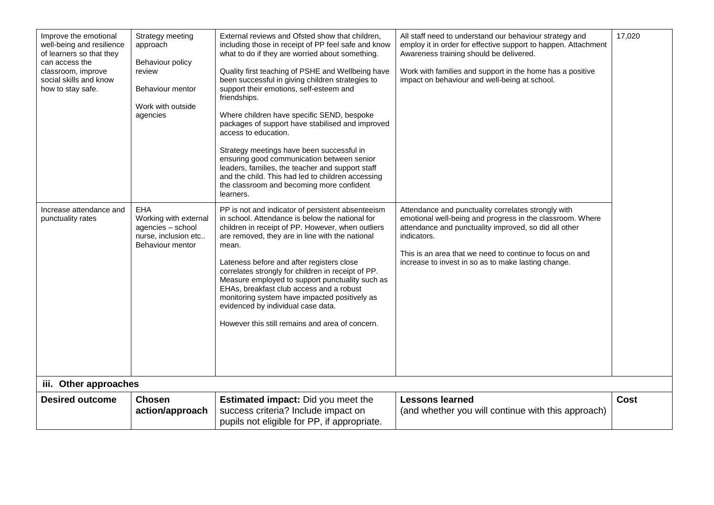| Improve the emotional<br>well-being and resilience<br>of learners so that they<br>can access the<br>classroom, improve<br>social skills and know<br>how to stay safe. | Strategy meeting<br>approach<br>Behaviour policy<br>review<br>Behaviour mentor<br>Work with outside<br>agencies | External reviews and Ofsted show that children,<br>including those in receipt of PP feel safe and know<br>what to do if they are worried about something.<br>Quality first teaching of PSHE and Wellbeing have<br>been successful in giving children strategies to<br>support their emotions, self-esteem and<br>friendships.<br>Where children have specific SEND, bespoke<br>packages of support have stabilised and improved<br>access to education.<br>Strategy meetings have been successful in<br>ensuring good communication between senior<br>leaders, families, the teacher and support staff<br>and the child. This had led to children accessing<br>the classroom and becoming more confident<br>learners. | All staff need to understand our behaviour strategy and<br>employ it in order for effective support to happen. Attachment<br>Awareness training should be delivered.<br>Work with families and support in the home has a positive<br>impact on behaviour and well-being at school.                          | 17,020      |
|-----------------------------------------------------------------------------------------------------------------------------------------------------------------------|-----------------------------------------------------------------------------------------------------------------|-----------------------------------------------------------------------------------------------------------------------------------------------------------------------------------------------------------------------------------------------------------------------------------------------------------------------------------------------------------------------------------------------------------------------------------------------------------------------------------------------------------------------------------------------------------------------------------------------------------------------------------------------------------------------------------------------------------------------|-------------------------------------------------------------------------------------------------------------------------------------------------------------------------------------------------------------------------------------------------------------------------------------------------------------|-------------|
| Increase attendance and<br>punctuality rates                                                                                                                          | EHA<br>Working with external<br>agencies - school<br>nurse, inclusion etc<br>Behaviour mentor                   | PP is not and indicator of persistent absenteeism<br>in school. Attendance is below the national for<br>children in receipt of PP. However, when outliers<br>are removed, they are in line with the national<br>mean.<br>Lateness before and after registers close<br>correlates strongly for children in receipt of PP.<br>Measure employed to support punctuality such as<br>EHAs, breakfast club access and a robust<br>monitoring system have impacted positively as<br>evidenced by individual case data.<br>However this still remains and area of concern.                                                                                                                                                     | Attendance and punctuality correlates strongly with<br>emotional well-being and progress in the classroom. Where<br>attendance and punctuality improved, so did all other<br>indicators.<br>This is an area that we need to continue to focus on and<br>increase to invest in so as to make lasting change. |             |
| iii. Other approaches                                                                                                                                                 |                                                                                                                 |                                                                                                                                                                                                                                                                                                                                                                                                                                                                                                                                                                                                                                                                                                                       |                                                                                                                                                                                                                                                                                                             |             |
| <b>Desired outcome</b>                                                                                                                                                | <b>Chosen</b><br>action/approach                                                                                | <b>Estimated impact:</b> Did you meet the<br>success criteria? Include impact on<br>pupils not eligible for PP, if appropriate.                                                                                                                                                                                                                                                                                                                                                                                                                                                                                                                                                                                       | <b>Lessons learned</b><br>(and whether you will continue with this approach)                                                                                                                                                                                                                                | <b>Cost</b> |